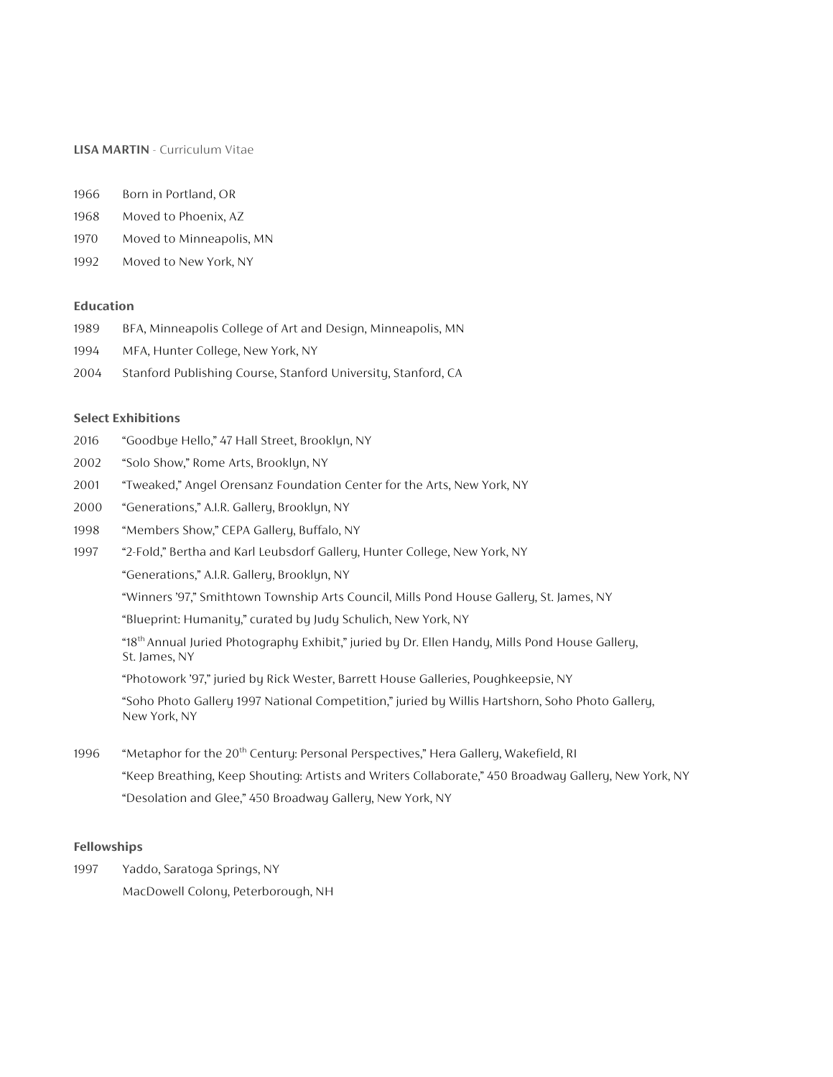#### **LISA MARTIN** - Curriculum Vitae

- 1966 Born in Portland, OR
- 1968 Moved to Phoenix, AZ
- 1970 Moved to Minneapolis, MN
- 1992 Moved to New York, NY

## **Education**

- 1989 BFA, Minneapolis College of Art and Design, Minneapolis, MN
- 1994 MFA, Hunter College, New York, NY
- 2004 Stanford Publishing Course, Stanford University, Stanford, CA

### **Select Exhibitions**

- 2016 "Goodbye Hello," 47 Hall Street, Brooklyn, NY
- 2002 "Solo Show," Rome Arts, Brooklyn, NY
- 2001 "Tweaked," Angel Orensanz Foundation Center for the Arts, New York, NY
- 2000 "Generations," A.I.R. Gallery, Brooklyn, NY
- 1998 "Members Show," CEPA Gallery, Buffalo, NY
- 1997 "2-Fold," Bertha and Karl Leubsdorf Gallery, Hunter College, New York, NY
	- "Generations," A.I.R. Gallery, Brooklyn, NY
		- "Winners '97," Smithtown Township Arts Council, Mills Pond House Gallery, St. James, NY
	- "Blueprint: Humanity," curated by Judy Schulich, New York, NY
	- "18<sup>th</sup> Annual Juried Photography Exhibit," juried by Dr. Ellen Handy, Mills Pond House Gallery, St. James, NY
	- "Photowork '97," juried by Rick Wester, Barrett House Galleries, Poughkeepsie, NY
	- "Soho Photo Gallery 1997 National Competition," juried by Willis Hartshorn, Soho Photo Gallery, New York, NY
- 1996 "Metaphor for the 20<sup>th</sup> Century: Personal Perspectives," Hera Gallery, Wakefield, RI "Keep Breathing, Keep Shouting: Artists and Writers Collaborate," 450 Broadway Gallery, New York, NY "Desolation and Glee," 450 Broadway Gallery, New York, NY

#### **Fellowships**

1997 Yaddo, Saratoga Springs, NY MacDowell Colony, Peterborough, NH